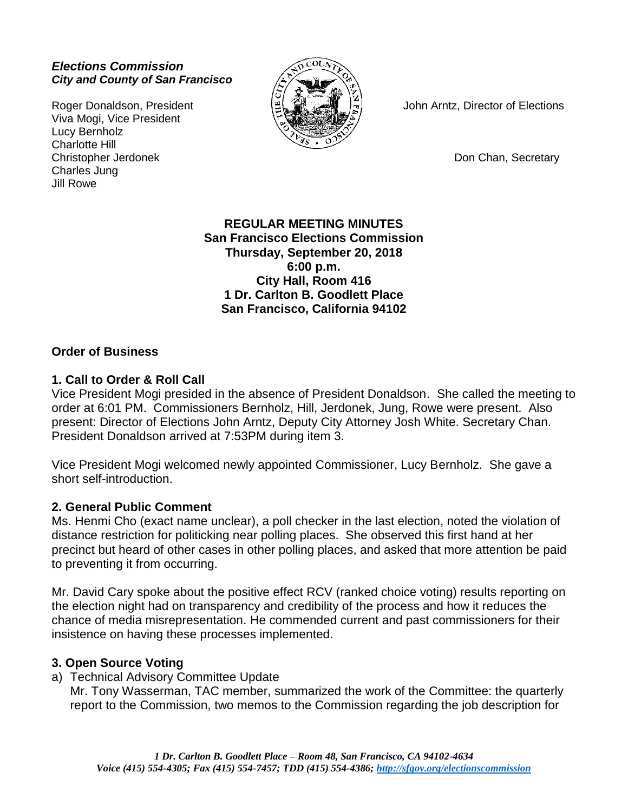### *Elections Commission City and County of San Francisco*

Viva Mogi, Vice President Lucy Bernholz Charlotte Hill Christopher Jerdonek **Don Chan, Secretary** Don Chan, Secretary Charles Jung Jill Rowe



Roger Donaldson, President  $\mathbb{R} \subseteq \mathbb{R}$  John Arntz, Director of Elections

**REGULAR MEETING MINUTES San Francisco Elections Commission Thursday, September 20, 2018 6:00 p.m. City Hall, Room 416 1 Dr. Carlton B. Goodlett Place San Francisco, California 94102**

### **Order of Business**

#### **1. Call to Order & Roll Call**

Vice President Mogi presided in the absence of President Donaldson. She called the meeting to order at 6:01 PM. Commissioners Bernholz, Hill, Jerdonek, Jung, Rowe were present. Also present: Director of Elections John Arntz, Deputy City Attorney Josh White. Secretary Chan. President Donaldson arrived at 7:53PM during item 3.

Vice President Mogi welcomed newly appointed Commissioner, Lucy Bernholz. She gave a short self-introduction.

#### **2. General Public Comment**

Ms. Henmi Cho (exact name unclear), a poll checker in the last election, noted the violation of distance restriction for politicking near polling places. She observed this first hand at her precinct but heard of other cases in other polling places, and asked that more attention be paid to preventing it from occurring.

Mr. David Cary spoke about the positive effect RCV (ranked choice voting) results reporting on the election night had on transparency and credibility of the process and how it reduces the chance of media misrepresentation. He commended current and past commissioners for their insistence on having these processes implemented.

#### **3. Open Source Voting**

a) Technical Advisory Committee Update

Mr. Tony Wasserman, TAC member, summarized the work of the Committee: the quarterly report to the Commission, two memos to the Commission regarding the job description for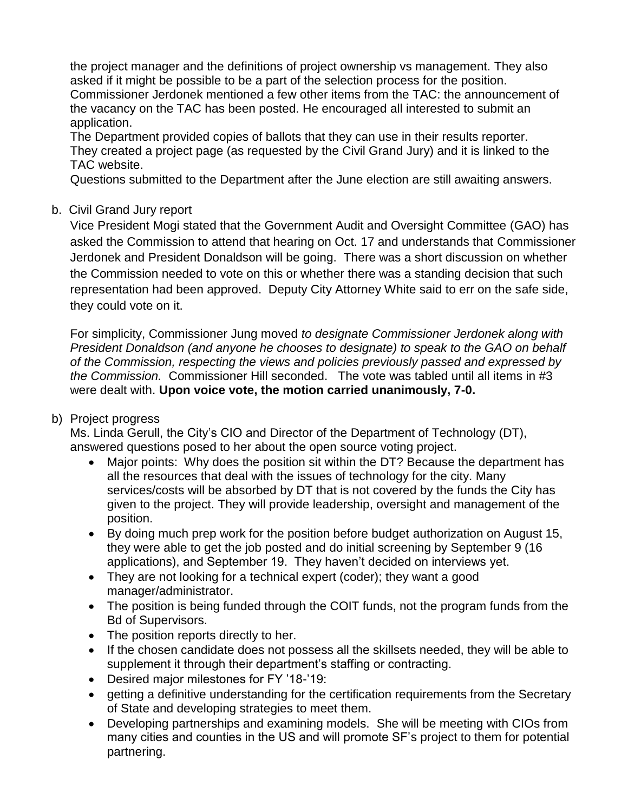the project manager and the definitions of project ownership vs management. They also asked if it might be possible to be a part of the selection process for the position. Commissioner Jerdonek mentioned a few other items from the TAC: the announcement of the vacancy on the TAC has been posted. He encouraged all interested to submit an application.

The Department provided copies of ballots that they can use in their results reporter. They created a project page (as requested by the Civil Grand Jury) and it is linked to the TAC website.

Questions submitted to the Department after the June election are still awaiting answers.

# b. Civil Grand Jury report

Vice President Mogi stated that the Government Audit and Oversight Committee (GAO) has asked the Commission to attend that hearing on Oct. 17 and understands that Commissioner Jerdonek and President Donaldson will be going. There was a short discussion on whether the Commission needed to vote on this or whether there was a standing decision that such representation had been approved. Deputy City Attorney White said to err on the safe side, they could vote on it.

For simplicity, Commissioner Jung moved *to designate Commissioner Jerdonek along with President Donaldson (and anyone he chooses to designate) to speak to the GAO on behalf of the Commission, respecting the views and policies previously passed and expressed by the Commission.* Commissioner Hill seconded. The vote was tabled until all items in #3 were dealt with. **Upon voice vote, the motion carried unanimously, 7-0.** 

# b) Project progress

Ms. Linda Gerull, the City's CIO and Director of the Department of Technology (DT), answered questions posed to her about the open source voting project.

- Major points: Why does the position sit within the DT? Because the department has all the resources that deal with the issues of technology for the city. Many services/costs will be absorbed by DT that is not covered by the funds the City has given to the project. They will provide leadership, oversight and management of the position.
- By doing much prep work for the position before budget authorization on August 15, they were able to get the job posted and do initial screening by September 9 (16 applications), and September 19. They haven't decided on interviews yet.
- They are not looking for a technical expert (coder); they want a good manager/administrator.
- The position is being funded through the COIT funds, not the program funds from the Bd of Supervisors.
- The position reports directly to her.
- If the chosen candidate does not possess all the skillsets needed, they will be able to supplement it through their department's staffing or contracting.
- Desired major milestones for FY '18-'19:
- getting a definitive understanding for the certification requirements from the Secretary of State and developing strategies to meet them.
- Developing partnerships and examining models. She will be meeting with CIOs from many cities and counties in the US and will promote SF's project to them for potential partnering.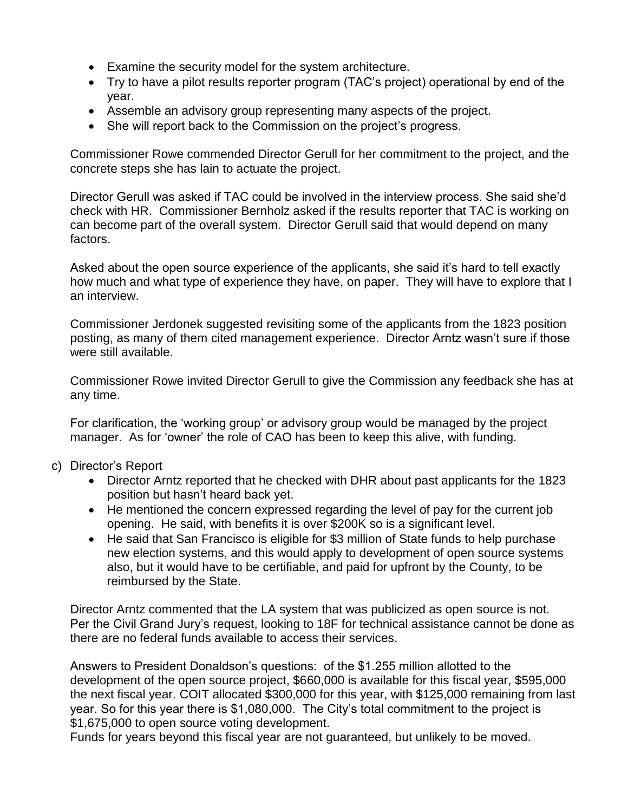- Examine the security model for the system architecture.
- Try to have a pilot results reporter program (TAC's project) operational by end of the year.
- Assemble an advisory group representing many aspects of the project.
- She will report back to the Commission on the project's progress.

Commissioner Rowe commended Director Gerull for her commitment to the project, and the concrete steps she has lain to actuate the project.

Director Gerull was asked if TAC could be involved in the interview process. She said she'd check with HR. Commissioner Bernholz asked if the results reporter that TAC is working on can become part of the overall system. Director Gerull said that would depend on many factors.

Asked about the open source experience of the applicants, she said it's hard to tell exactly how much and what type of experience they have, on paper. They will have to explore that I an interview.

Commissioner Jerdonek suggested revisiting some of the applicants from the 1823 position posting, as many of them cited management experience. Director Arntz wasn't sure if those were still available.

Commissioner Rowe invited Director Gerull to give the Commission any feedback she has at any time.

For clarification, the 'working group' or advisory group would be managed by the project manager. As for 'owner' the role of CAO has been to keep this alive, with funding.

- c) Director's Report
	- Director Arntz reported that he checked with DHR about past applicants for the 1823 position but hasn't heard back yet.
	- He mentioned the concern expressed regarding the level of pay for the current job opening. He said, with benefits it is over \$200K so is a significant level.
	- He said that San Francisco is eligible for \$3 million of State funds to help purchase new election systems, and this would apply to development of open source systems also, but it would have to be certifiable, and paid for upfront by the County, to be reimbursed by the State.

Director Arntz commented that the LA system that was publicized as open source is not. Per the Civil Grand Jury's request, looking to 18F for technical assistance cannot be done as there are no federal funds available to access their services.

Answers to President Donaldson's questions: of the \$1.255 million allotted to the development of the open source project, \$660,000 is available for this fiscal year, \$595,000 the next fiscal year. COIT allocated \$300,000 for this year, with \$125,000 remaining from last year. So for this year there is \$1,080,000. The City's total commitment to the project is \$1,675,000 to open source voting development.

Funds for years beyond this fiscal year are not guaranteed, but unlikely to be moved.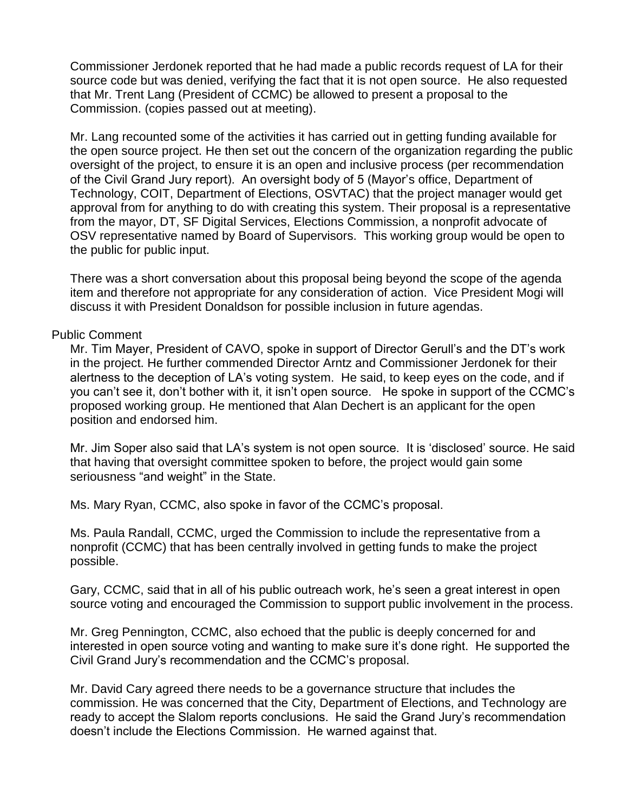Commissioner Jerdonek reported that he had made a public records request of LA for their source code but was denied, verifying the fact that it is not open source. He also requested that Mr. Trent Lang (President of CCMC) be allowed to present a proposal to the Commission. (copies passed out at meeting).

Mr. Lang recounted some of the activities it has carried out in getting funding available for the open source project. He then set out the concern of the organization regarding the public oversight of the project, to ensure it is an open and inclusive process (per recommendation of the Civil Grand Jury report). An oversight body of 5 (Mayor's office, Department of Technology, COIT, Department of Elections, OSVTAC) that the project manager would get approval from for anything to do with creating this system. Their proposal is a representative from the mayor, DT, SF Digital Services, Elections Commission, a nonprofit advocate of OSV representative named by Board of Supervisors. This working group would be open to the public for public input.

There was a short conversation about this proposal being beyond the scope of the agenda item and therefore not appropriate for any consideration of action. Vice President Mogi will discuss it with President Donaldson for possible inclusion in future agendas.

#### Public Comment

Mr. Tim Mayer, President of CAVO, spoke in support of Director Gerull's and the DT's work in the project. He further commended Director Arntz and Commissioner Jerdonek for their alertness to the deception of LA's voting system. He said, to keep eyes on the code, and if you can't see it, don't bother with it, it isn't open source. He spoke in support of the CCMC's proposed working group. He mentioned that Alan Dechert is an applicant for the open position and endorsed him.

Mr. Jim Soper also said that LA's system is not open source. It is 'disclosed' source. He said that having that oversight committee spoken to before, the project would gain some seriousness "and weight" in the State.

Ms. Mary Ryan, CCMC, also spoke in favor of the CCMC's proposal.

Ms. Paula Randall, CCMC, urged the Commission to include the representative from a nonprofit (CCMC) that has been centrally involved in getting funds to make the project possible.

Gary, CCMC, said that in all of his public outreach work, he's seen a great interest in open source voting and encouraged the Commission to support public involvement in the process.

Mr. Greg Pennington, CCMC, also echoed that the public is deeply concerned for and interested in open source voting and wanting to make sure it's done right. He supported the Civil Grand Jury's recommendation and the CCMC's proposal.

Mr. David Cary agreed there needs to be a governance structure that includes the commission. He was concerned that the City, Department of Elections, and Technology are ready to accept the Slalom reports conclusions. He said the Grand Jury's recommendation doesn't include the Elections Commission. He warned against that.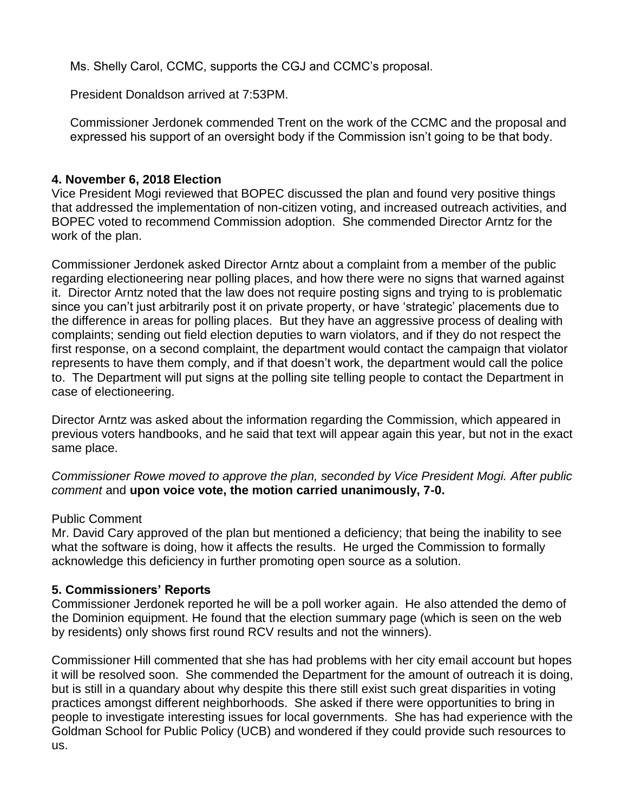Ms. Shelly Carol, CCMC, supports the CGJ and CCMC's proposal.

President Donaldson arrived at 7:53PM.

Commissioner Jerdonek commended Trent on the work of the CCMC and the proposal and expressed his support of an oversight body if the Commission isn't going to be that body.

# **4. November 6, 2018 Election**

Vice President Mogi reviewed that BOPEC discussed the plan and found very positive things that addressed the implementation of non-citizen voting, and increased outreach activities, and BOPEC voted to recommend Commission adoption. She commended Director Arntz for the work of the plan.

Commissioner Jerdonek asked Director Arntz about a complaint from a member of the public regarding electioneering near polling places, and how there were no signs that warned against it. Director Arntz noted that the law does not require posting signs and trying to is problematic since you can't just arbitrarily post it on private property, or have 'strategic' placements due to the difference in areas for polling places. But they have an aggressive process of dealing with complaints; sending out field election deputies to warn violators, and if they do not respect the first response, on a second complaint, the department would contact the campaign that violator represents to have them comply, and if that doesn't work, the department would call the police to. The Department will put signs at the polling site telling people to contact the Department in case of electioneering.

Director Arntz was asked about the information regarding the Commission, which appeared in previous voters handbooks, and he said that text will appear again this year, but not in the exact same place.

*Commissioner Rowe moved to approve the plan, seconded by Vice President Mogi. After public comment* and **upon voice vote, the motion carried unanimously, 7-0.**

# Public Comment

Mr. David Cary approved of the plan but mentioned a deficiency; that being the inability to see what the software is doing, how it affects the results. He urged the Commission to formally acknowledge this deficiency in further promoting open source as a solution.

# **5. Commissioners' Reports**

Commissioner Jerdonek reported he will be a poll worker again. He also attended the demo of the Dominion equipment. He found that the election summary page (which is seen on the web by residents) only shows first round RCV results and not the winners).

Commissioner Hill commented that she has had problems with her city email account but hopes it will be resolved soon. She commended the Department for the amount of outreach it is doing, but is still in a quandary about why despite this there still exist such great disparities in voting practices amongst different neighborhoods. She asked if there were opportunities to bring in people to investigate interesting issues for local governments. She has had experience with the Goldman School for Public Policy (UCB) and wondered if they could provide such resources to us.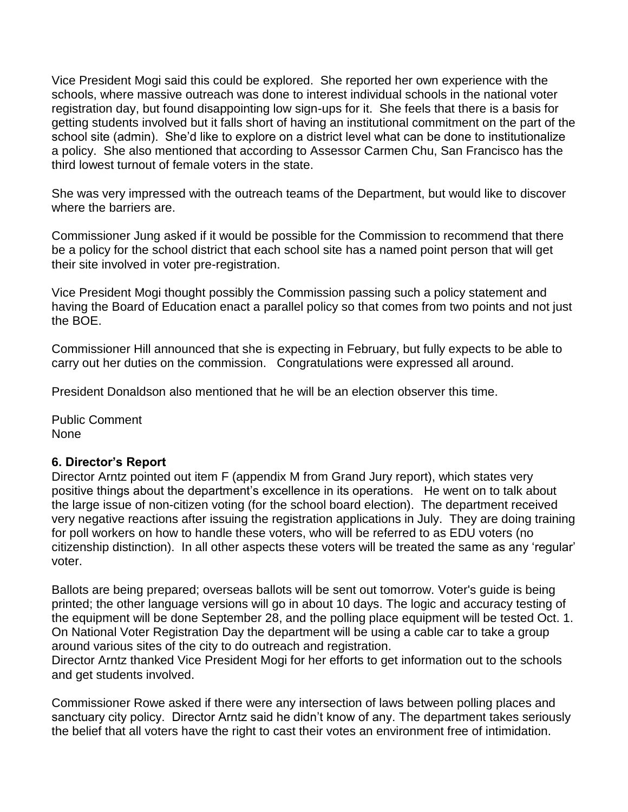Vice President Mogi said this could be explored. She reported her own experience with the schools, where massive outreach was done to interest individual schools in the national voter registration day, but found disappointing low sign-ups for it. She feels that there is a basis for getting students involved but it falls short of having an institutional commitment on the part of the school site (admin). She'd like to explore on a district level what can be done to institutionalize a policy. She also mentioned that according to Assessor Carmen Chu, San Francisco has the third lowest turnout of female voters in the state.

She was very impressed with the outreach teams of the Department, but would like to discover where the barriers are.

Commissioner Jung asked if it would be possible for the Commission to recommend that there be a policy for the school district that each school site has a named point person that will get their site involved in voter pre-registration.

Vice President Mogi thought possibly the Commission passing such a policy statement and having the Board of Education enact a parallel policy so that comes from two points and not just the BOE.

Commissioner Hill announced that she is expecting in February, but fully expects to be able to carry out her duties on the commission. Congratulations were expressed all around.

President Donaldson also mentioned that he will be an election observer this time.

Public Comment None

### **6. Director's Report**

Director Arntz pointed out item F (appendix M from Grand Jury report), which states very positive things about the department's excellence in its operations. He went on to talk about the large issue of non-citizen voting (for the school board election). The department received very negative reactions after issuing the registration applications in July. They are doing training for poll workers on how to handle these voters, who will be referred to as EDU voters (no citizenship distinction). In all other aspects these voters will be treated the same as any 'regular' voter.

Ballots are being prepared; overseas ballots will be sent out tomorrow. Voter's guide is being printed; the other language versions will go in about 10 days. The logic and accuracy testing of the equipment will be done September 28, and the polling place equipment will be tested Oct. 1. On National Voter Registration Day the department will be using a cable car to take a group around various sites of the city to do outreach and registration.

Director Arntz thanked Vice President Mogi for her efforts to get information out to the schools and get students involved.

Commissioner Rowe asked if there were any intersection of laws between polling places and sanctuary city policy. Director Arntz said he didn't know of any. The department takes seriously the belief that all voters have the right to cast their votes an environment free of intimidation.